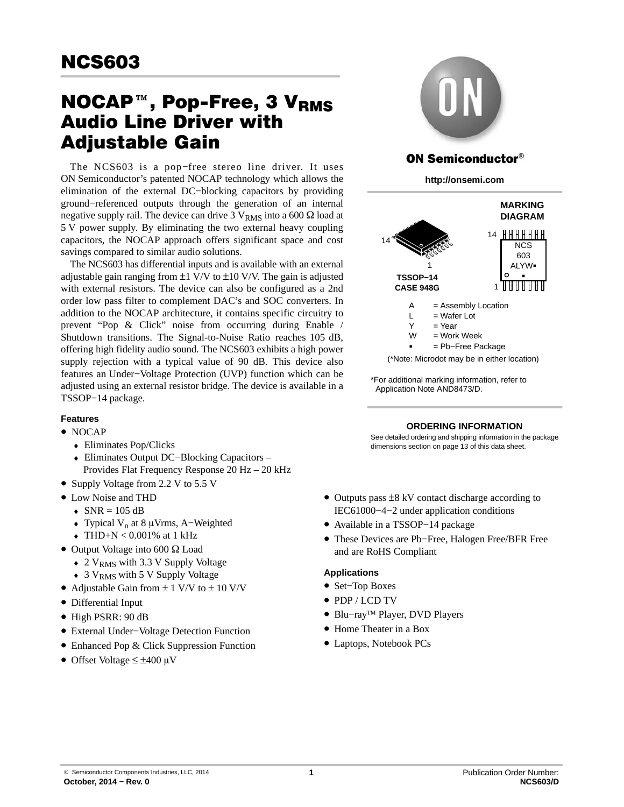# ncsous<br>NOCAP™, Pop-Free, 3 V<sub>RMS</sub> Audio Line Driver with Adjustable Gain

The NCS603 is a pop−free stereo line driver. It uses ON Semiconductor's patented NOCAP technology which allows the elimination of the external DC−blocking capacitors by providing ground−referenced outputs through the generation of an internal negative supply rail. The device can drive 3  $\rm V_{RMS}$  into a 600  $\Omega$  load at 5 V power supply. By eliminating the two external heavy coupling capacitors, the NOCAP approach offers significant space and cost savings compared to similar audio solutions.

The NCS603 has differential inputs and is available with an external adjustable gain ranging from  $\pm 1$  V/V to  $\pm 10$  V/V. The gain is adjusted with external resistors. The device can also be configured as a 2nd order low pass filter to complement DAC's and SOC converters. In addition to the NOCAP architecture, it contains specific circuitry to prevent "Pop & Click" noise from occurring during Enable / Shutdown transitions. The Signal-to-Noise Ratio reaches 105 dB, offering high fidelity audio sound. The NCS603 exhibits a high power supply rejection with a typical value of 90 dB. This device also features an Under−Voltage Protection (UVP) function which can be adjusted using an external resistor bridge. The device is available in a TSSOP−14 package.

# **Features**

- NOCAP
	- ♦ Eliminates Pop/Clicks
	- ♦ Eliminates Output DC−Blocking Capacitors Provides Flat Frequency Response 20 Hz – 20 kHz
- Supply Voltage from 2.2 V to 5.5 V
- Low Noise and THD
	- $\triangleleft$  SNR = 105 dB
	- ♦ Typical Vn at 8 Vrms, A−Weighted
	- $\triangleleft$  THD+N < 0.001% at 1 kHz
- $\bullet$  Output Voltage into 600  $\Omega$  Load
	- $\rightarrow$  2 V<sub>RMS</sub> with 3.3 V Supply Voltage
	- 3 V<sub>RMS</sub> with 5 V Supply Voltage
- Adjustable Gain from  $\pm$  1 V/V to  $\pm$  10 V/V
- Differential Input
- High PSRR: 90 dB
- External Under−Voltage Detection Function
- Enhanced Pop & Click Suppression Function
- Offset Voltage  $\leq \pm 400 \mu V$



# **ON Semiconductor®**

**http://onsemi.com**



\*For additional marking information, refer to Application Note AND8473/D.

## **ORDERING INFORMATION**

See detailed ordering and shipping information in the package dimensions section on page [13](#page-12-0) of this data sheet.

- Outputs pass ±8 kV contact discharge according to IEC61000−4−2 under application conditions
- Available in a TSSOP−14 package
- These Devices are Pb−Free, Halogen Free/BFR Free and are RoHS Compliant

## **Applications**

- Set−Top Boxes
- PDP / LCD TV
- Blu−ray™ Player, DVD Players
- Home Theater in a Box
- Laptops, Notebook PCs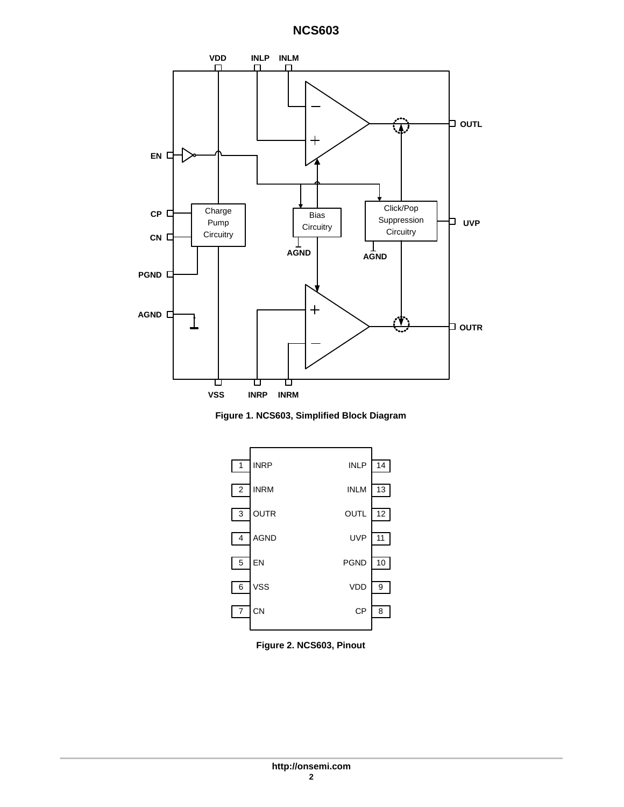

**Figure 1. NCS603, Simplified Block Diagram**



**Figure 2. NCS603, Pinout**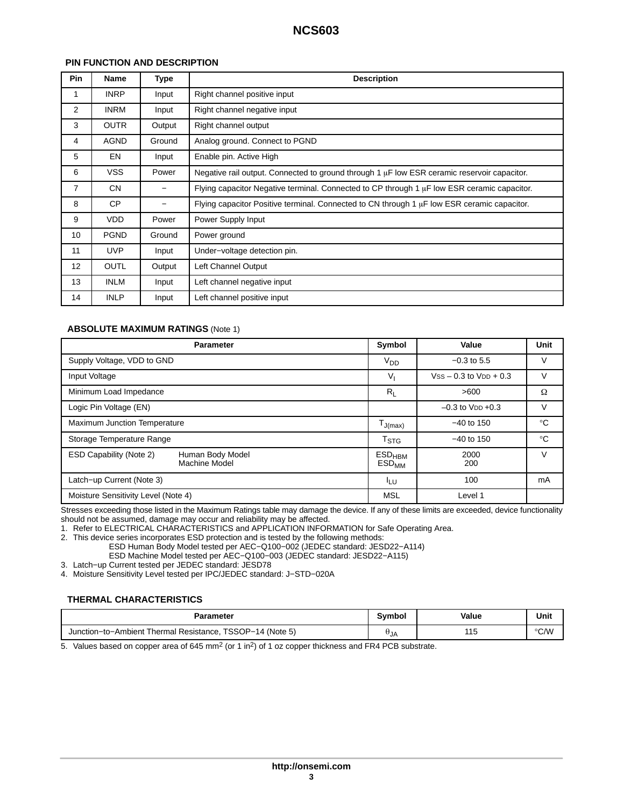# **PIN FUNCTION AND DESCRIPTION**

| <b>Pin</b>      | Name        | Type   | <b>Description</b>                                                                               |
|-----------------|-------------|--------|--------------------------------------------------------------------------------------------------|
|                 | <b>INRP</b> | Input  | Right channel positive input                                                                     |
| $\overline{2}$  | <b>INRM</b> | Input  | Right channel negative input                                                                     |
| 3               | <b>OUTR</b> | Output | Right channel output                                                                             |
| 4               | <b>AGND</b> | Ground | Analog ground. Connect to PGND                                                                   |
| 5               | EN          | Input  | Enable pin. Active High                                                                          |
| 6               | <b>VSS</b>  | Power  | Negative rail output. Connected to ground through 1 $\mu$ F low ESR ceramic reservoir capacitor. |
| $\overline{7}$  | <b>CN</b>   | -      | Flying capacitor Negative terminal. Connected to CP through 1 $\mu$ F low ESR ceramic capacitor. |
| 8               | <b>CP</b>   | —      | Flying capacitor Positive terminal. Connected to CN through 1 $\mu$ F low ESR ceramic capacitor. |
| 9               | <b>VDD</b>  | Power  | Power Supply Input                                                                               |
| 10              | <b>PGND</b> | Ground | Power ground                                                                                     |
| 11              | <b>UVP</b>  | Input  | Under-voltage detection pin.                                                                     |
| 12 <sup>°</sup> | <b>OUTL</b> | Output | Left Channel Output                                                                              |
| 13              | INLM        | Input  | Left channel negative input                                                                      |
| 14              | <b>INLP</b> | Input  | Left channel positive input                                                                      |

## **ABSOLUTE MAXIMUM RATINGS** (Note 1)

| <b>Parameter</b>                                             | Symbol                                      | Value                      | Unit        |
|--------------------------------------------------------------|---------------------------------------------|----------------------------|-------------|
| Supply Voltage, VDD to GND                                   | $V_{DD}$                                    | $-0.3$ to 5.5              | V           |
| Input Voltage                                                | $V_{1}$                                     | $Vss - 0.3$ to $VDD + 0.3$ | $\vee$      |
| Minimum Load Impedance                                       | $R_{I}$                                     | >600                       | Ω           |
| Logic Pin Voltage (EN)                                       |                                             | $-0.3$ to $V_{DD} + 0.3$   | $\vee$      |
| Maximum Junction Temperature                                 | $\mathsf{T}_{\mathsf{J}(\mathsf{max})}$     | $-40$ to 150               | $^{\circ}C$ |
| Storage Temperature Range                                    | T <sub>STG</sub>                            | $-40$ to 150               | $^{\circ}C$ |
| ESD Capability (Note 2)<br>Human Body Model<br>Machine Model | $ESD_{HBM}$<br>$\mathsf{ESD}_{\mathsf{MM}}$ | 2000<br>200                | V           |
| Latch-up Current (Note 3)                                    | ILU                                         | 100                        | mA          |
| Moisture Sensitivity Level (Note 4)                          | <b>MSL</b>                                  | Level 1                    |             |

Stresses exceeding those listed in the Maximum Ratings table may damage the device. If any of these limits are exceeded, device functionality should not be assumed, damage may occur and reliability may be affected.

1. Refer to ELECTRICAL CHARACTERISTICS and APPLICATION INFORMATION for Safe Operating Area.

2. This device series incorporates ESD protection and is tested by the following methods:

ESD Human Body Model tested per AEC−Q100−002 (JEDEC standard: JESD22−A114)

ESD Machine Model tested per AEC−Q100−003 (JEDEC standard: JESD22−A115)

3. Latch−up Current tested per JEDEC standard: JESD78

4. Moisture Sensitivity Level tested per IPC/JEDEC standard: J−STD−020A

# **THERMAL CHARACTERISTICS**

| Parameter                                                      | Svmbol | Value    | Unit          |
|----------------------------------------------------------------|--------|----------|---------------|
| TSSOP-14 (Note 5)<br>Junction-to-Ambient Thermal Resistance, T | UJA    | AA<br>10 | $\degree$ C/W |

5. Values based on copper area of 645 mm<sup>2</sup> (or 1 in<sup>2</sup>) of 1 oz copper thickness and FR4 PCB substrate.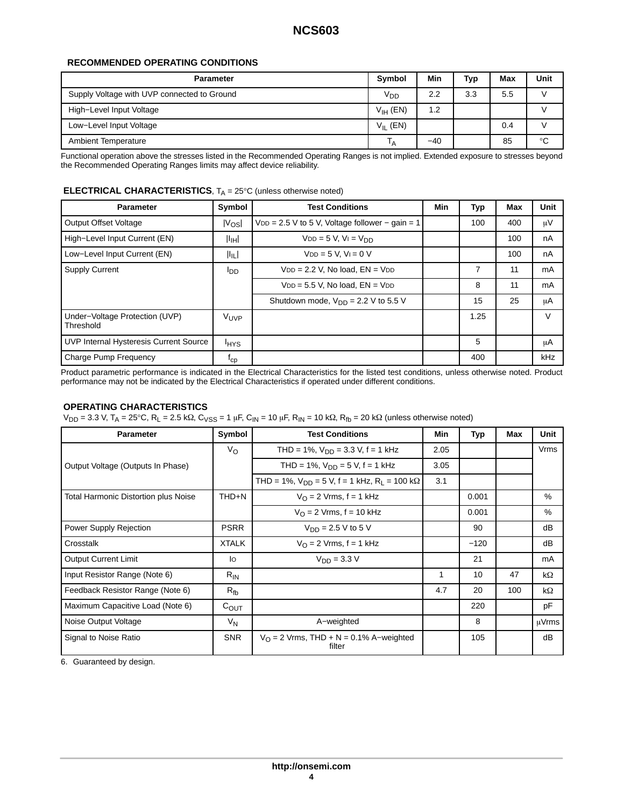# **RECOMMENDED OPERATING CONDITIONS**

| <b>Parameter</b>                            | <b>Symbol</b>   | Min   | Typ | Max | Unit        |
|---------------------------------------------|-----------------|-------|-----|-----|-------------|
| Supply Voltage with UVP connected to Ground | V <sub>DD</sub> | 2.2   | 3.3 | 5.5 |             |
| High-Level Input Voltage                    | $V_{IH}$ (EN)   | 1.2   |     |     |             |
| Low-Level Input Voltage                     | $V_{II}$ (EN)   |       |     | 0.4 |             |
| <b>Ambient Temperature</b>                  | <sup>1</sup> A  | $-40$ |     | 85  | $^{\circ}C$ |

Functional operation above the stresses listed in the Recommended Operating Ranges is not implied. Extended exposure to stresses beyond the Recommended Operating Ranges limits may affect device reliability.

# **ELECTRICAL CHARACTERISTICS**, T<sub>A</sub> = 25°C (unless otherwise noted)

| <b>Parameter</b>                            | Symbol            | <b>Test Conditions</b>                            | Min | Typ  | Max | Unit   |
|---------------------------------------------|-------------------|---------------------------------------------------|-----|------|-----|--------|
| <b>Output Offset Voltage</b>                | $ V_{OS} $        | $VDD = 2.5 V$ to 5 V, Voltage follower – gain = 1 |     | 100  | 400 | μV     |
| High-Level Input Current (EN)               | $ I_{\text{IH}} $ | $VDD = 5 V$ , $V = V_{DD}$                        |     |      | 100 | nA     |
| Low-Level Input Current (EN)                | 肛门                | $VDD = 5 V, VI = 0 V$                             |     |      | 100 | nA     |
| <b>Supply Current</b>                       | l <sub>DD</sub>   | $VDD = 2.2$ V, No load, $EN = VDD$                |     | 7    | 11  | mA     |
|                                             |                   | $VDD = 5.5$ V, No load, $EN = VDD$                |     | 8    | 11  | mA     |
|                                             |                   | Shutdown mode, $V_{DD} = 2.2$ V to 5.5 V          |     | 15   | 25  | μA     |
| Under-Voltage Protection (UVP)<br>Threshold | VUVP              |                                                   |     | 1.25 |     | $\vee$ |
| UVP Internal Hysteresis Current Source      | <b>HYS</b>        |                                                   |     | 5    |     | μA     |
| Charge Pump Frequency                       | $n_{\rm cp}$      |                                                   |     | 400  |     | kHz    |

Product parametric performance is indicated in the Electrical Characteristics for the listed test conditions, unless otherwise noted. Product performance may not be indicated by the Electrical Characteristics if operated under different conditions.

## **OPERATING CHARACTERISTICS**

 $V_{\text{DD}}$  = 3.3 V, T<sub>A</sub> = 25°C, R<sub>L</sub> = 2.5 kΩ, C<sub>VSS</sub> = 1 μF, C<sub>IN</sub> = 10 μF, R<sub>IN</sub> = 10 kΩ, R<sub>fb</sub> = 20 kΩ (unless otherwise noted)

| <b>Parameter</b>                            | Symbol           | <b>Test Conditions</b>                                       | Min  | Typ    | Max | <b>Unit</b> |
|---------------------------------------------|------------------|--------------------------------------------------------------|------|--------|-----|-------------|
|                                             | $V_{\rm O}$      | THD = 1%, $V_{DD}$ = 3.3 V, f = 1 kHz                        | 2.05 |        |     | <b>Vrms</b> |
| Output Voltage (Outputs In Phase)           |                  | THD = 1%, $V_{DD}$ = 5 V, f = 1 kHz                          | 3.05 |        |     |             |
|                                             |                  | THD = 1%, $V_{DD}$ = 5 V, f = 1 kHz, R <sub>1</sub> = 100 kΩ | 3.1  |        |     |             |
| <b>Total Harmonic Distortion plus Noise</b> | THD+N            | $V_{\Omega}$ = 2 Vrms, f = 1 kHz                             |      | 0.001  |     | $\%$        |
|                                             |                  | $V_{\Omega}$ = 2 Vrms, f = 10 kHz                            |      | 0.001  |     | %           |
| Power Supply Rejection                      | <b>PSRR</b>      | $V_{DD} = 2.5 V$ to 5 V                                      |      | 90     |     | dB          |
| Crosstalk                                   | <b>XTALK</b>     | $V_{\Omega}$ = 2 Vrms, f = 1 kHz                             |      | $-120$ |     | dB          |
| <b>Output Current Limit</b>                 | lo               | $V_{DD} = 3.3 V$                                             |      | 21     |     | mA          |
| Input Resistor Range (Note 6)               | $R_{IN}$         |                                                              | 1    | 10     | 47  | kΩ          |
| Feedback Resistor Range (Note 6)            | $R_{\rm fb}$     |                                                              | 4.7  | 20     | 100 | kΩ          |
| Maximum Capacitive Load (Note 6)            | $C_{\text{OUT}}$ |                                                              |      | 220    |     | pF          |
| Noise Output Voltage                        | $V_N$            | A-weighted                                                   |      | 8      |     | uVrms       |
| Signal to Noise Ratio                       | <b>SNR</b>       | $V_{\Omega}$ = 2 Vrms, THD + N = 0.1% A–weighted<br>filter   |      | 105    |     | dB          |

6. Guaranteed by design.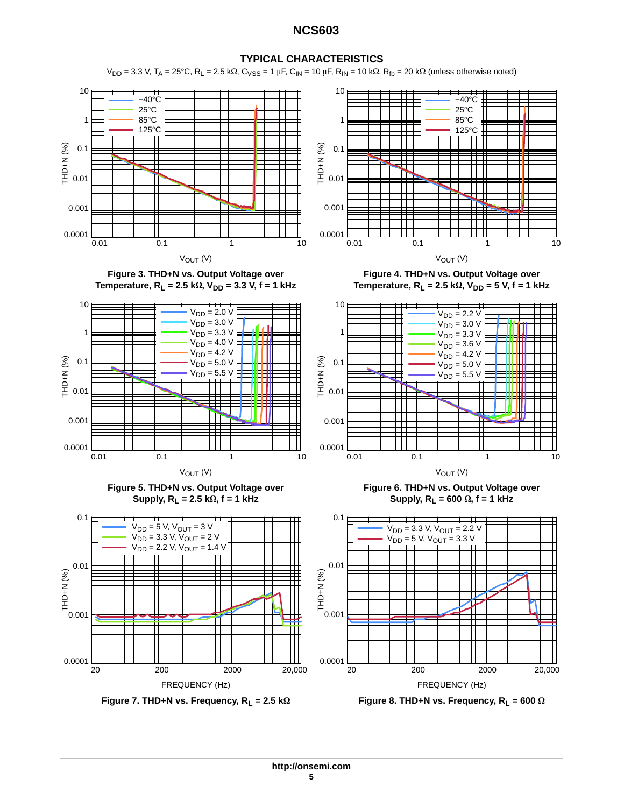# **TYPICAL CHARACTERISTICS**

 $V_{DD}$  = 3.3 V, T<sub>A</sub> = 25°C, R<sub>L</sub> = 2.5 kΩ, C<sub>VSS</sub> = 1 μF, C<sub>IN</sub> = 10 μF, R<sub>IN</sub> = 10 kΩ, R<sub>fb</sub> = 20 kΩ (unless otherwise noted)







**Figure 3. THD+N vs. Output Voltage over Temperature, R<sub>L</sub> = 2.5 kΩ, V<sub>DD</sub> = 3.3 V, f = 1 kHz** 



**Figure 5. THD+N vs. Output Voltage over**  $\textsf{Supply}, R_\textsf{L} = 2.5 \; \textsf{k}\Omega, \textsf{f} = 1 \; \textsf{kHz}$ 





**Figure 4. THD+N vs. Output Voltage over Temperature, R<sub>L</sub> = 2.5 kΩ, V<sub>DD</sub> = 5 V, f = 1 kHz** 



**Figure 6. THD+N vs. Output Voltage over**  $\textsf{Supply}, R_{\textsf{L}} = 600 \Omega, \textsf{f} = 1 \textsf{ kHz}$ 



 $\Omega$  **Figure 8. THD+N vs. Frequency, R**<sub>L</sub> = 600  $\Omega$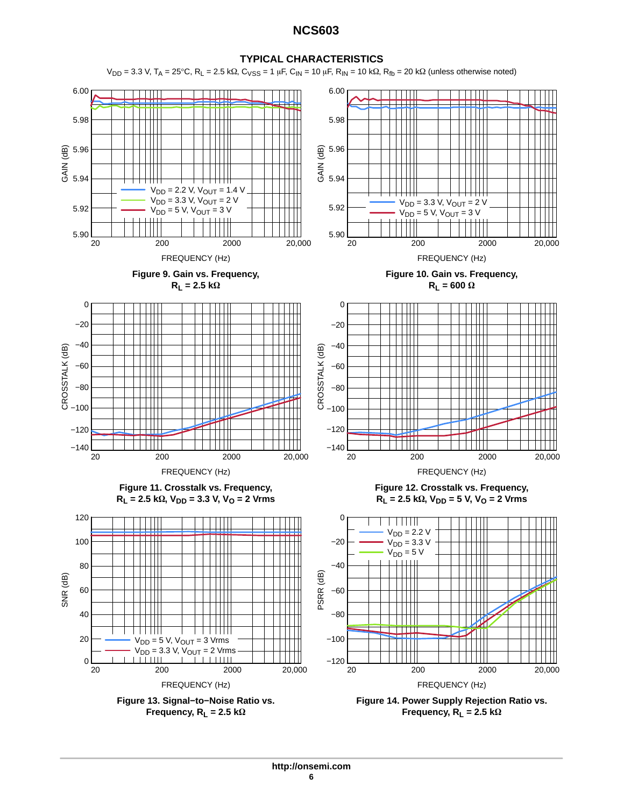

 $V_{DD}$  = 3.3 V, T<sub>A</sub> = 25°C, R<sub>L</sub> = 2.5 kΩ, C<sub>VSS</sub> = 1 μF, C<sub>IN</sub> = 10 μF, R<sub>IN</sub> = 10 kΩ, R<sub>fb</sub> = 20 kΩ (unless otherwise noted)

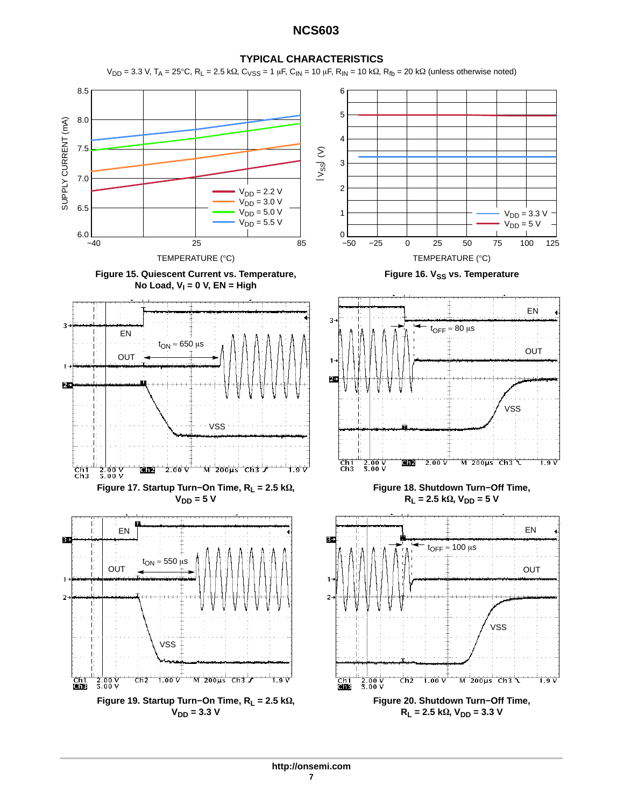

 $V_{DD}$  = 3.3 V, T<sub>A</sub> = 25°C, R<sub>L</sub> = 2.5 kΩ, C<sub>VSS</sub> = 1 μF, C<sub>IN</sub> = 10 μF, R<sub>IN</sub> = 10 kΩ, R<sub>fb</sub> = 20 kΩ (unless otherwise noted)

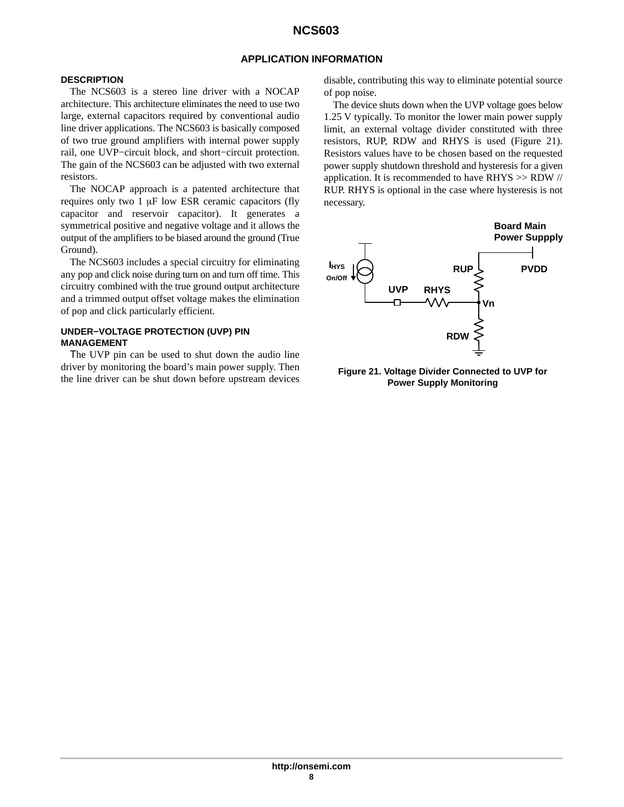# **APPLICATION INFORMATION**

# <span id="page-7-0"></span>**DESCRIPTION**

The NCS603 is a stereo line driver with a NOCAP architecture. This architecture eliminates the need to use two large, external capacitors required by conventional audio line driver applications. The NCS603 is basically composed of two true ground amplifiers with internal power supply rail, one UVP−circuit block, and short−circuit protection. The gain of the NCS603 can be adjusted with two external resistors.

The NOCAP approach is a patented architecture that requires only two  $1 \mu$ F low ESR ceramic capacitors (fly capacitor and reservoir capacitor). It generates a symmetrical positive and negative voltage and it allows the output of the amplifiers to be biased around the ground (True Ground).

The NCS603 includes a special circuitry for eliminating any pop and click noise during turn on and turn off time. This circuitry combined with the true ground output architecture and a trimmed output offset voltage makes the elimination of pop and click particularly efficient.

# **UNDER−VOLTAGE PROTECTION (UVP) PIN MANAGEMENT**

The UVP pin can be used to shut down the audio line driver by monitoring the board's main power supply. Then the line driver can be shut down before upstream devices

disable, contributing this way to eliminate potential source of pop noise.

The device shuts down when the UVP voltage goes below 1.25 V typically. To monitor the lower main power supply limit, an external voltage divider constituted with three resistors, RUP, RDW and RHYS is used (Figure 21). Resistors values have to be chosen based on the requested power supply shutdown threshold and hysteresis for a given application. It is recommended to have RHYS >> RDW // RUP. RHYS is optional in the case where hysteresis is not necessary.



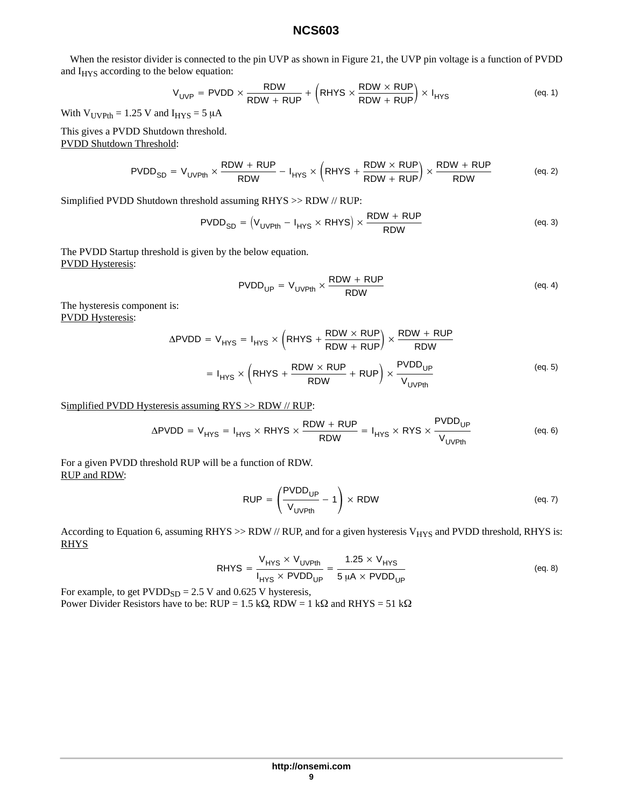When the resistor divider is connected to the pin UVP as shown in Figure [21,](#page-7-0) the UVP pin voltage is a function of PVDD and I<sub>HYS</sub> according to the below equation:

$$
V_{\text{UVP}} = \text{PVDD} \times \frac{\text{RDW}}{\text{RDW} + \text{RUP}} + \left(\text{RHYS} \times \frac{\text{RDW} \times \text{RUP}}{\text{RDW} + \text{RUP}}\right) \times I_{\text{HYS}} \tag{eq.1}
$$

With  $V_{UVPth} = 1.25$  V and  $I_{HYS} = 5 \mu A$ 

This gives a PVDD Shutdown threshold. PVDD Shutdown Threshold:

$$
PVDD_{SD} = V_{UVPH} \times \frac{RDW + RUP}{RDW} - I_{HYS} \times \left(RHYS + \frac{RDW \times RUP}{RDW + RUP} \right) \times \frac{RDW + RUP}{RDW}
$$
 (eq. 2)

Simplified PVDD Shutdown threshold assuming RHYS >> RDW // RUP:

$$
PVDD_{SD} = (V_{UVPth} - I_{HYS} \times RHYS) \times \frac{RDW + RUP}{RDW}
$$
 (eq. 3)

The PVDD Startup threshold is given by the below equation. PVDD Hysteresis:

$$
PVDD_{UP} = V_{UVPth} \times \frac{RDW + RUP}{RDW}
$$
 (eq. 4)

The hysteresis component is: PVDD Hysteresis:

$$
\Delta \text{PVDD} = V_{\text{HYS}} = I_{\text{HYS}} \times \left( \text{RHYS} + \frac{\text{RDW} \times \text{RUP}}{\text{RDW} + \text{RUP}} \right) \times \frac{\text{RDW} + \text{RUP}}{\text{RDW}}
$$
  
= I<sub>HYS</sub> \times \left( \text{RHYS} + \frac{\text{RDW} \times \text{RUP}}{\text{RDW}} + \text{RUP} \right) \times \frac{\text{PVDD}\_{\text{UP}}}{V\_{\text{UVPHh}}} \tag{eq.5}

Simplified PVDD Hysteresis assuming RYS >> RDW // RUP:

$$
\Delta \text{PVDD} = V_{\text{HYS}} = I_{\text{HYS}} \times \text{RHYS} \times \frac{\text{RDW} + \text{RUP}}{\text{RDW}} = I_{\text{HYS}} \times \text{RYS} \times \frac{\text{PVDD}_{\text{UP}}}{V_{\text{UVPh}}} \tag{eq.6}
$$

For a given PVDD threshold RUP will be a function of RDW. RUP and RDW:

$$
RUP = \left(\frac{PVDD_{UP}}{V_{UVPth}} - 1\right) \times RDW
$$
 (eq. 7)

According to Equation 6, assuming RHYS >> RDW // RUP, and for a given hysteresis  $V_{HYS}$  and PVDD threshold, RHYS is: RHYS

$$
RHYS = \frac{V_{HYS} \times V_{UVPth}}{I_{HYS} \times PVDD_{UP}} = \frac{1.25 \times V_{HYS}}{5 \mu A \times PVDD_{UP}}
$$
 (eq. 8)

For example, to get  $PVDD<sub>SD</sub> = 2.5 V$  and 0.625 V hysteresis, Power Divider Resistors have to be:  $RUP = 1.5 k\Omega$ ,  $RDW = 1 k\Omega$  and  $RHYS = 51 k\Omega$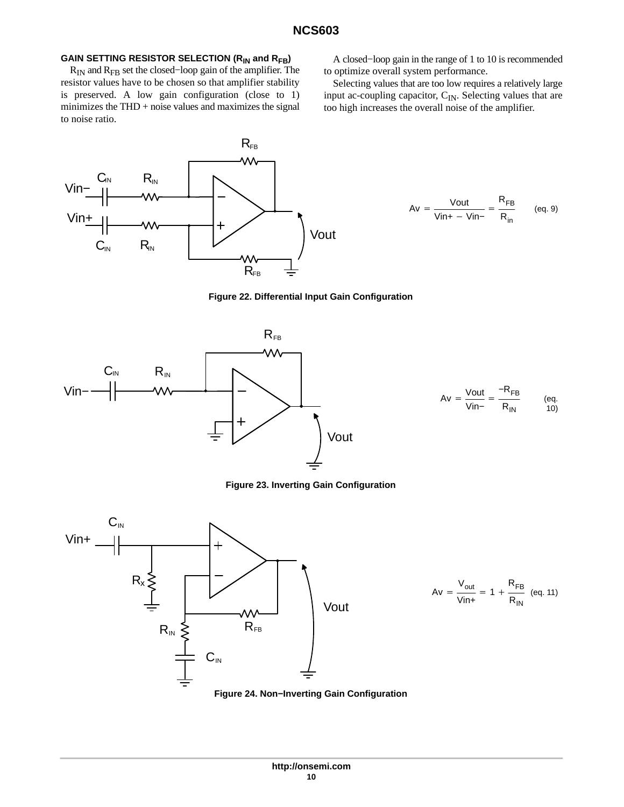## GAIN SETTING RESISTOR SELECTION (R<sub>IN</sub> and R<sub>FB</sub>)

RIN and RFB set the closed−loop gain of the amplifier. The resistor values have to be chosen so that amplifier stability is preserved. A low gain configuration (close to 1) minimizes the  $THD + noise$  values and maximizes the signal to noise ratio.



A closed−loop gain in the range of 1 to 10 is recommended to optimize overall system performance.

Selecting values that are too low requires a relatively large input ac-coupling capacitor, C<sub>IN</sub>. Selecting values that are too high increases the overall noise of the amplifier.

$$
Av = \frac{Vout}{Vin+ - Vin-} = \frac{R_{FB}}{R_{in}} \qquad (eq. 9)
$$





**Figure 23. Inverting Gain Configuration**



$$
Av = \frac{V_{out}}{V_{in+}} = 1 + \frac{R_{FB}}{R_{IN}} \quad (eq. 11)
$$

 $R_{\sf IN}$ 

(eq.  $(10)$ 

**Figure 24. Non−Inverting Gain Configuration**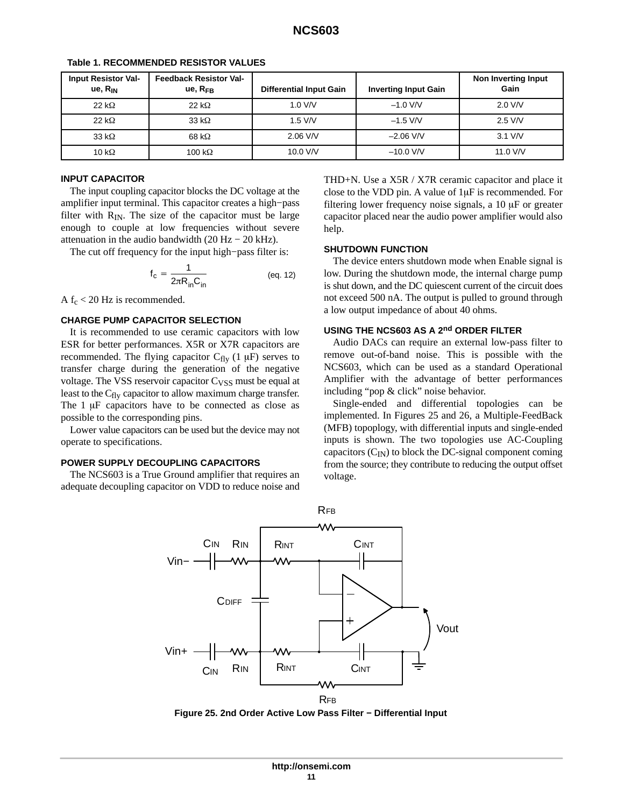| <b>Input Resistor Val-</b><br>$ue, R_{IN}$ | <b>Feedback Resistor Val-</b><br>ue, R <sub>FR</sub> | <b>Differential Input Gain</b> | <b>Inverting Input Gain</b> | Non Inverting Input<br>Gain |
|--------------------------------------------|------------------------------------------------------|--------------------------------|-----------------------------|-----------------------------|
| $22 k\Omega$                               | 22 k $\Omega$                                        | $1.0$ V/V                      | $-1.0$ V/V                  | $2.0$ V/V                   |
| $22 k\Omega$                               | 33 k $\Omega$                                        | $1.5$ V/V                      | $-1.5$ V/V                  | $2.5$ V/V                   |
| 33 k $\Omega$                              | 68 k $\Omega$                                        | $2.06$ V/V                     | $-2.06$ V/V                 | $3.1$ V/V                   |
| 10 k $\Omega$                              | 100 k $\Omega$                                       | 10.0 V/V                       | $-10.0$ V/V                 | 11.0 V/V                    |

#### **Table 1. RECOMMENDED RESISTOR VALUES**

## **INPUT CAPACITOR**

The input coupling capacitor blocks the DC voltage at the amplifier input terminal. This capacitor creates a high−pass filter with  $R_{IN}$ . The size of the capacitor must be large enough to couple at low frequencies without severe attenuation in the audio bandwidth  $(20 Hz – 20 kHz)$ .

The cut off frequency for the input high−pass filter is:

$$
_{\rm c} = \frac{1}{2\pi R_{\rm in} C_{\rm in}} \tag{eq. 12}
$$

A  $f_c$  < 20 Hz is recommended.

#### **CHARGE PUMP CAPACITOR SELECTION**

 $f$ 

It is recommended to use ceramic capacitors with low ESR for better performances. X5R or X7R capacitors are recommended. The flying capacitor  $C_{f|v}$  (1  $\mu$ F) serves to transfer charge during the generation of the negative voltage. The VSS reservoir capacitor  $C_{VSS}$  must be equal at least to the  $C_{fly}$  capacitor to allow maximum charge transfer. The  $1 \mu$ F capacitors have to be connected as close as possible to the corresponding pins.

Lower value capacitors can be used but the device may not operate to specifications.

#### **POWER SUPPLY DECOUPLING CAPACITORS**

The NCS603 is a True Ground amplifier that requires an adequate decoupling capacitor on VDD to reduce noise and

THD+N. Use a X5R / X7R ceramic capacitor and place it close to the VDD pin. A value of  $1\mu$ F is recommended. For filtering lower frequency noise signals, a  $10 \mu$ F or greater capacitor placed near the audio power amplifier would also help.

#### **SHUTDOWN FUNCTION**

The device enters shutdown mode when Enable signal is low. During the shutdown mode, the internal charge pump is shut down, and the DC quiescent current of the circuit does not exceed 500 nA. The output is pulled to ground through a low output impedance of about 40 ohms.

# **USING THE NCS603 AS A 2nd ORDER FILTER**

Audio DACs can require an external low-pass filter to remove out-of-band noise. This is possible with the NCS603, which can be used as a standard Operational Amplifier with the advantage of better performances including "pop & click" noise behavior.

Single-ended and differential topologies can be implemented. In Figures 25 and [26,](#page-11-0) a Multiple-FeedBack (MFB) topoplogy, with differential inputs and single-ended inputs is shown. The two topologies use AC-Coupling capacitors  $(C_{IN})$  to block the DC-signal component coming from the source; they contribute to reducing the output offset voltage.



**Figure 25. 2nd Order Active Low Pass Filter − Differential Input**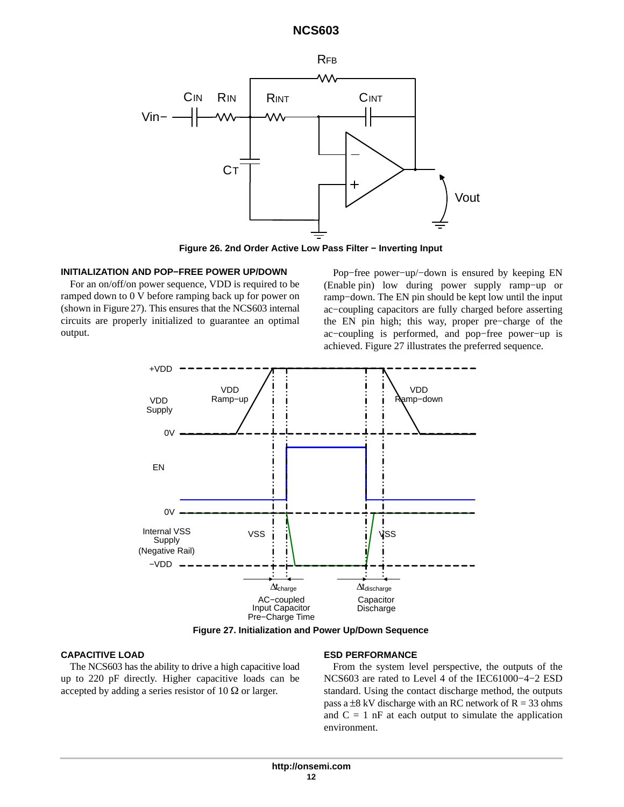<span id="page-11-0"></span>

**Figure 26. 2nd Order Active Low Pass Filter − Inverting Input**

## **INITIALIZATION AND POP−FREE POWER UP/DOWN**

For an on/off/on power sequence, VDD is required to be ramped down to 0 V before ramping back up for power on (shown in Figure 27). This ensures that the NCS603 internal circuits are properly initialized to guarantee an optimal output.

Pop−free power−up/−down is ensured by keeping EN (Enable pin) low during power supply ramp−up or ramp−down. The EN pin should be kept low until the input ac−coupling capacitors are fully charged before asserting the EN pin high; this way, proper pre−charge of the ac−coupling is performed, and pop−free power−up is achieved. Figure 27 illustrates the preferred sequence.



**Figure 27. Initialization and Power Up/Down Sequence**

# **CAPACITIVE LOAD**

The NCS603 has the ability to drive a high capacitive load up to 220 pF directly. Higher capacitive loads can be accepted by adding a series resistor of  $10 \Omega$  or larger.

#### **ESD PERFORMANCE**

From the system level perspective, the outputs of the NCS603 are rated to Level 4 of the IEC61000−4−2 ESD standard. Using the contact discharge method, the outputs pass a  $\pm 8$  kV discharge with an RC network of R = 33 ohms and  $C = 1$  nF at each output to simulate the application environment.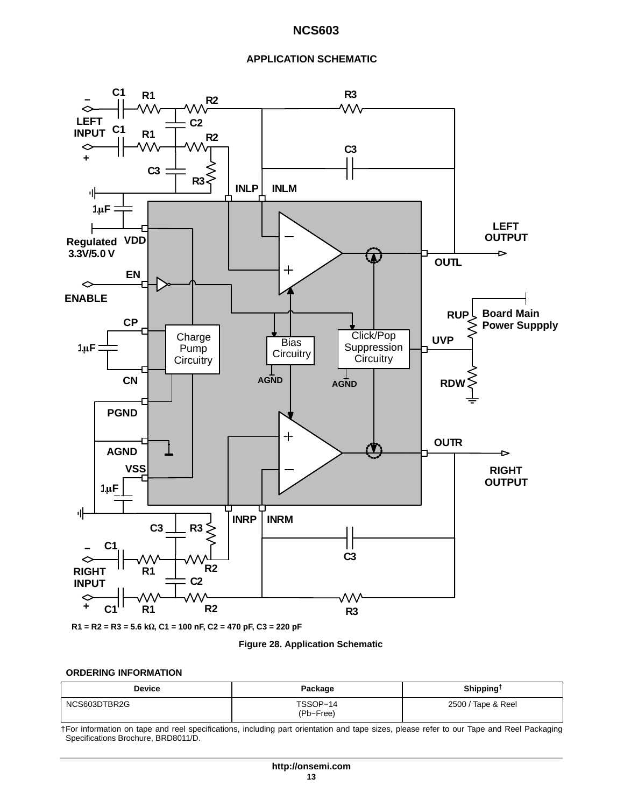## **APPLICATION SCHEMATIC**

<span id="page-12-0"></span>

**Figure 28. Application Schematic**

#### **ORDERING INFORMATION**

| <b>Device</b> | Package               | Shipping <sup><math>\dagger</math></sup> |
|---------------|-----------------------|------------------------------------------|
| NCS603DTBR2G  | TSSOP-14<br>(Pb-Free) | 2500 / Tape & Reel                       |

†For information on tape and reel specifications, including part orientation and tape sizes, please refer to our Tape and Reel Packaging Specifications Brochure, BRD8011/D.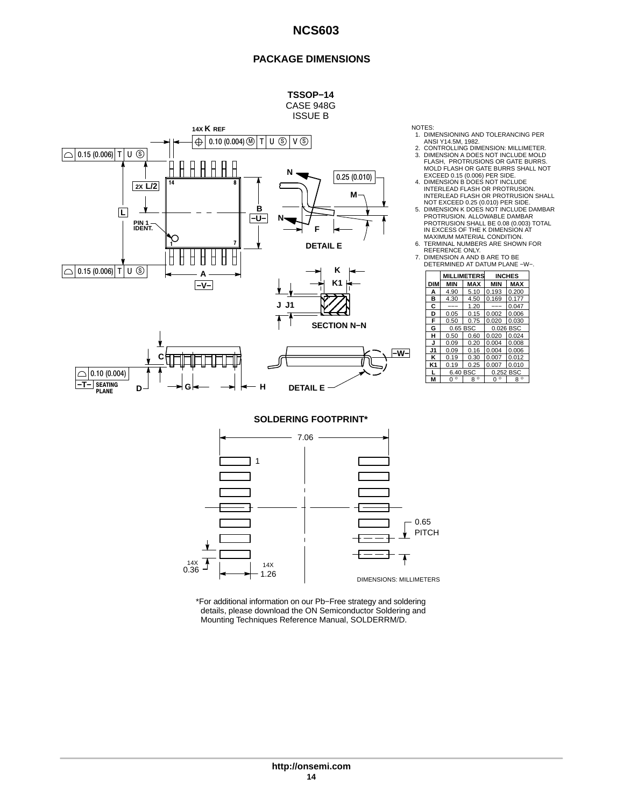## **PACKAGE DIMENSIONS**



NOTES:

- 1. DIMENSIONING AND TOLERANCING PER MISI Y14.5M, 1982.<br>ANSI Y14.5M, 1982.<br>CONTROLLING DIMENSION: MILLIMETER.
- 
- 
- 2. CONTROLLING DIMENSION: MILLIMETER.<br>
3. DIMENSION A DOES NOT INCLUDE MOLD ELASH, PROTRUSIONS OR GATE BURRS.<br>
MOLD FLASH OR GATE BURRS SHALL NOT<br>
4. DIMENSION B DOES NOT INCLUDE<br>
4. DIMENSION B DOES NOT INCLUDE<br>
INTERLEAD
- TERMINAL NUMBERS ARE SHOWN FOR<br>REFERENCE ONLY.
- 7. DIMENSION A AND B ARE TO BE DETERMINED AT DATUM PLANE −W−.

| ĸ                  |                |                     |                    |             |               |
|--------------------|----------------|---------------------|--------------------|-------------|---------------|
|                    |                |                     | <b>MILLIMETERS</b> |             | <b>INCHES</b> |
| K <sub>1</sub>     | <b>DIM</b>     | MIN                 | <b>MAX</b>         | <b>MIN</b>  | <b>MAX</b>    |
|                    | A              | 4.90                | 5.10               | 0.193       | 0.200         |
|                    | в              | 4.30                | 4.50               | 0.169       | 0.177         |
|                    | С              | ---                 | 1.20               | ---         | 0.047         |
|                    | D              | 0.05                | 0.15               | 0.002       | 0.006         |
|                    | F              | 0.50                | 0.75               | 0.020       | 0.030         |
| <b>SECTION N-N</b> | G              | 0.65 BSC            |                    | 0.026 BSC   |               |
|                    | н              | 0.50                | 0.60               | 0.020       | 0.024         |
|                    | J              | 0.09                | 0.20               | 0.004       | 0.008         |
| -w-l               | J1             | 0.09                | 0.16               | 0.004       | 0.006         |
|                    | κ              | 0.19                | 0.30               | 0.007       | 0.012         |
|                    | K <sub>1</sub> | 0.19                | 0.25               | 0.007       | 0.010         |
|                    |                | 6.40 BSC            |                    | 0.252 BSC   |               |
|                    | M              | $\circ$<br>$\Omega$ | $8^{\circ}$        | $0^{\circ}$ | $8^{\circ}$   |
|                    |                |                     |                    |             |               |

**SOLDERING FOOTPRINT\***



\*For additional information on our Pb−Free strategy and soldering details, please download the ON Semiconductor Soldering and Mounting Techniques Reference Manual, SOLDERRM/D.